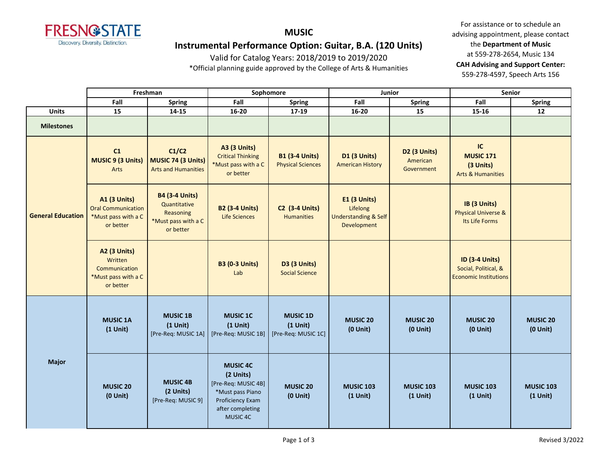

# **MUSIC Instrumental Performance Option: Guitar, B.A. (120 Units)**

Valid for Catalog Years: 2018/2019 to 2019/2020

\*Official planning guide approved by the College of Arts & Humanities

|                          |                                                                                      | Freshman                                                                               | Sophomore<br>Junior                                                                                                         |                                                      |                                                                                   | <b>Senior</b>                          |                                                                               |                                  |
|--------------------------|--------------------------------------------------------------------------------------|----------------------------------------------------------------------------------------|-----------------------------------------------------------------------------------------------------------------------------|------------------------------------------------------|-----------------------------------------------------------------------------------|----------------------------------------|-------------------------------------------------------------------------------|----------------------------------|
|                          | Fall                                                                                 | <b>Spring</b>                                                                          | Fall                                                                                                                        | <b>Spring</b>                                        | Fall                                                                              | <b>Spring</b>                          | Fall                                                                          | <b>Spring</b>                    |
| <b>Units</b>             | 15                                                                                   | 14-15                                                                                  | 16-20                                                                                                                       | 17-19                                                | $16 - 20$                                                                         | 15                                     | 15-16                                                                         | 12                               |
| <b>Milestones</b>        |                                                                                      |                                                                                        |                                                                                                                             |                                                      |                                                                                   |                                        |                                                                               |                                  |
| <b>General Education</b> | C1<br><b>MUSIC 9 (3 Units)</b><br>Arts                                               | C1/C2<br>MUSIC 74 (3 Units)<br><b>Arts and Humanities</b>                              | <b>A3 (3 Units)</b><br><b>Critical Thinking</b><br>*Must pass with a C<br>or better                                         | <b>B1 (3-4 Units)</b><br><b>Physical Sciences</b>    | <b>D1 (3 Units)</b><br><b>American History</b>                                    | D2 (3 Units)<br>American<br>Government | IC<br><b>MUSIC 171</b><br>(3 Units)<br><b>Arts &amp; Humanities</b>           |                                  |
|                          | <b>A1 (3 Units)</b><br><b>Oral Communication</b><br>*Must pass with a C<br>or better | <b>B4 (3-4 Units)</b><br>Quantitative<br>Reasoning<br>*Must pass with a C<br>or better | <b>B2 (3-4 Units)</b><br><b>Life Sciences</b>                                                                               | <b>C2 (3-4 Units)</b><br><b>Humanities</b>           | <b>E1 (3 Units)</b><br>Lifelong<br><b>Understanding &amp; Self</b><br>Development |                                        | IB (3 Units)<br><b>Physical Universe &amp;</b><br>Its Life Forms              |                                  |
|                          | A2 (3 Units)<br>Written<br>Communication<br>*Must pass with a C<br>or better         |                                                                                        | <b>B3 (0-3 Units)</b><br>Lab                                                                                                | <b>D3 (3 Units)</b><br><b>Social Science</b>         |                                                                                   |                                        | <b>ID (3-4 Units)</b><br>Social, Political, &<br><b>Economic Institutions</b> |                                  |
|                          | <b>MUSIC 1A</b><br>$(1$ Unit)                                                        | <b>MUSIC 1B</b><br>$(1$ Unit)<br>[Pre-Req: MUSIC 1A]                                   | <b>MUSIC 1C</b><br>$(1$ Unit)<br>[Pre-Req: MUSIC 1B]                                                                        | <b>MUSIC 1D</b><br>$(1$ Unit)<br>[Pre-Req: MUSIC 1C] | <b>MUSIC 20</b><br>$(0$ Unit)                                                     | <b>MUSIC 20</b><br>$(0$ Unit)          | <b>MUSIC 20</b><br>$(0$ Unit)                                                 | <b>MUSIC 20</b><br>$(0$ Unit $)$ |
| <b>Major</b>             | <b>MUSIC 20</b><br>$(0$ Unit $)$                                                     | <b>MUSIC 4B</b><br>(2 Units)<br>[Pre-Req: MUSIC 9]                                     | <b>MUSIC 4C</b><br>(2 Units)<br>[Pre-Req: MUSIC 4B]<br>*Must pass Piano<br>Proficiency Exam<br>after completing<br>MUSIC 4C | <b>MUSIC 20</b><br>$(0$ Unit $)$                     | <b>MUSIC 103</b><br>$(1$ Unit)                                                    | <b>MUSIC 103</b><br>$(1$ Unit)         | <b>MUSIC 103</b><br>$(1$ Unit)                                                | <b>MUSIC 103</b><br>$(1$ Unit)   |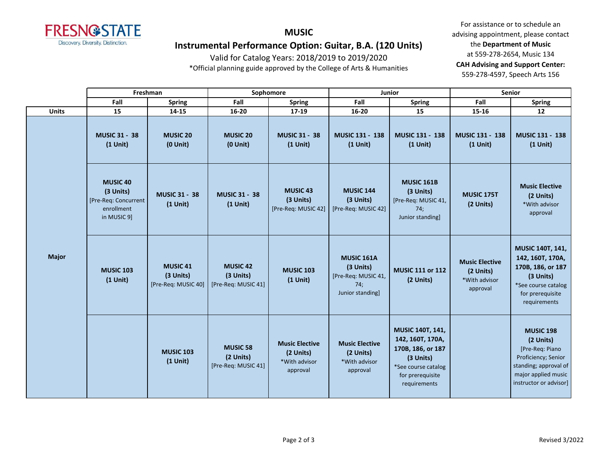

# **MUSIC Instrumental Performance Option: Guitar, B.A. (120 Units)**

Valid for Catalog Years: 2018/2019 to 2019/2020

\*Official planning guide approved by the College of Arts & Humanities

|              |                                                                             | Freshman                                            |                                                     | Sophomore                                                       |                                                                                  | <b>Junior</b>                                                                                                                     |                                                                 | <b>Senior</b>                                                                                                                                     |
|--------------|-----------------------------------------------------------------------------|-----------------------------------------------------|-----------------------------------------------------|-----------------------------------------------------------------|----------------------------------------------------------------------------------|-----------------------------------------------------------------------------------------------------------------------------------|-----------------------------------------------------------------|---------------------------------------------------------------------------------------------------------------------------------------------------|
|              | Fall                                                                        | <b>Spring</b>                                       | Fall                                                | <b>Spring</b>                                                   | Fall                                                                             | <b>Spring</b>                                                                                                                     | Fall                                                            | <b>Spring</b>                                                                                                                                     |
| <b>Units</b> | 15<br>14-15                                                                 |                                                     | 16-20<br>$17 - 19$                                  |                                                                 | $16 - 20$                                                                        | 15                                                                                                                                | 15-16                                                           | 12                                                                                                                                                |
|              | <b>MUSIC 31 - 38</b><br>$(1$ Unit)                                          | <b>MUSIC 20</b><br>$(0$ Unit)                       | <b>MUSIC 20</b><br>$(0$ Unit $)$                    | <b>MUSIC 31 - 38</b><br>$(1$ Unit)                              | MUSIC 131 - 138<br>$(1$ Unit)                                                    | <b>MUSIC 131 - 138</b><br>$(1$ Unit)                                                                                              | <b>MUSIC 131 - 138</b><br>$(1$ Unit)                            | MUSIC 131 - 138<br>$(1$ Unit)                                                                                                                     |
|              | MUSIC 40<br>(3 Units)<br>[Pre-Req: Concurrent]<br>enrollment<br>in MUSIC 9] | <b>MUSIC 31 - 38</b><br>$(1$ Unit)                  | <b>MUSIC 31 - 38</b><br>$(1$ Unit)                  | <b>MUSIC 43</b><br>(3 Units)<br>[Pre-Req: MUSIC 42]             | <b>MUSIC 144</b><br>(3 Units)<br>[Pre-Req: MUSIC 42]                             | <b>MUSIC 161B</b><br>(3 Units)<br>[Pre-Req: MUSIC 41,<br>74;<br>Junior standing                                                   | <b>MUSIC 175T</b><br>(2 Units)                                  | <b>Music Elective</b><br>(2 Units)<br>*With advisor<br>approval                                                                                   |
| <b>Major</b> | <b>MUSIC 103</b><br>$(1$ Unit)                                              | <b>MUSIC 41</b><br>(3 Units)<br>[Pre-Req: MUSIC 40] | <b>MUSIC 42</b><br>(3 Units)<br>[Pre-Req: MUSIC 41] | <b>MUSIC 103</b><br>$(1$ Unit)                                  | <b>MUSIC 161A</b><br>(3 Units)<br>[Pre-Req: MUSIC 41,<br>74;<br>Junior standing] | <b>MUSIC 111 or 112</b><br>(2 Units)                                                                                              | <b>Music Elective</b><br>(2 Units)<br>*With advisor<br>approval | MUSIC 140T, 141,<br>142, 160T, 170A,<br>170B, 186, or 187<br>(3 Units)<br>*See course catalog<br>for prerequisite<br>requirements                 |
|              |                                                                             | <b>MUSIC 103</b><br>$(1$ Unit)                      | <b>MUSIC 58</b><br>(2 Units)<br>[Pre-Req: MUSIC 41] | <b>Music Elective</b><br>(2 Units)<br>*With advisor<br>approval | <b>Music Elective</b><br>(2 Units)<br>*With advisor<br>approval                  | MUSIC 140T, 141,<br>142, 160T, 170A,<br>170B, 186, or 187<br>(3 Units)<br>*See course catalog<br>for prerequisite<br>requirements |                                                                 | <b>MUSIC 198</b><br>(2 Units)<br>[Pre-Req: Piano<br>Proficiency; Senior<br>standing; approval of<br>major applied music<br>instructor or advisor] |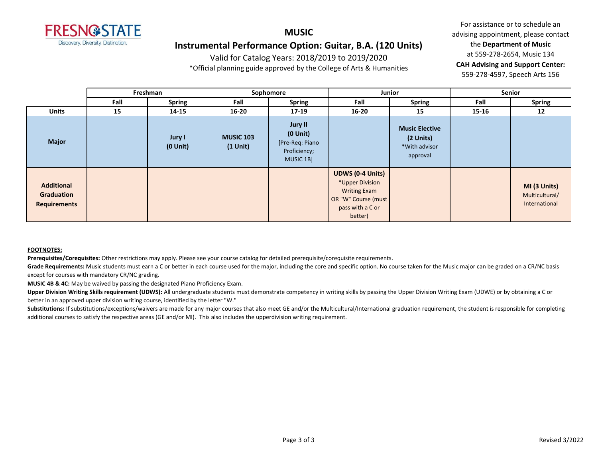

## **MUSIC Instrumental Performance Option: Guitar, B.A. (120 Units)**

Valid for Catalog Years: 2018/2019 to 2019/2020

\*Official planning guide approved by the College of Arts & Humanities

For assistance or to schedule an advising appointment, please contact the **Department of Music** at 559-278-2654, Music 134 **CAH Advising and Support Center:**  559-278-4597, Speech Arts 156

|                                                        |      | Freshman                | Junior<br>Sophomore            |                                                                          |                                                                                                                         |                                                                 |       | Senior                                          |  |
|--------------------------------------------------------|------|-------------------------|--------------------------------|--------------------------------------------------------------------------|-------------------------------------------------------------------------------------------------------------------------|-----------------------------------------------------------------|-------|-------------------------------------------------|--|
|                                                        | Fall | <b>Spring</b>           | Fall                           | <b>Spring</b>                                                            | Fall                                                                                                                    | <b>Spring</b>                                                   | Fall  | <b>Spring</b>                                   |  |
| <b>Units</b>                                           | 15   | 14-15                   | $16 - 20$                      | $17-19$                                                                  | $16 - 20$                                                                                                               | 15                                                              | 15-16 | 12                                              |  |
| <b>Major</b>                                           |      | Jury I<br>$(0$ Unit $)$ | <b>MUSIC 103</b><br>$(1$ Unit) | Jury II<br>$(0$ Unit $)$<br>[Pre-Req: Piano<br>Proficiency;<br>MUSIC 1B] |                                                                                                                         | <b>Music Elective</b><br>(2 Units)<br>*With advisor<br>approval |       |                                                 |  |
| <b>Additional</b><br>Graduation<br><b>Requirements</b> |      |                         |                                |                                                                          | <b>UDWS (0-4 Units)</b><br>*Upper Division<br><b>Writing Exam</b><br>OR "W" Course (must<br>pass with a C or<br>better) |                                                                 |       | MI (3 Units)<br>Multicultural/<br>International |  |

### **FOOTNOTES:**

**Prerequisites/Corequisites:** Other restrictions may apply. Please see your course catalog for detailed prerequisite/corequisite requirements.

Grade Requirements: Music students must earn a C or better in each course used for the major, including the core and specific option. No course taken for the Music major can be graded on a CR/NC basis except for courses with mandatory CR/NC grading.

**MUSIC 4B & 4C:** May be waived by passing the designated Piano Proficiency Exam.

Upper Division Writing Skills requirement (UDWS): All undergraduate students must demonstrate competency in writing skills by passing the Upper Division Writing Exam (UDWE) or by obtaining a C or better in an approved upper division writing course, identified by the letter "W."

Substitutions: If substitutions/exceptions/waivers are made for any major courses that also meet GE and/or the Multicultural/International graduation requirement, the student is responsible for completing additional courses to satisfy the respective areas (GE and/or MI). This also includes the upperdivision writing requirement.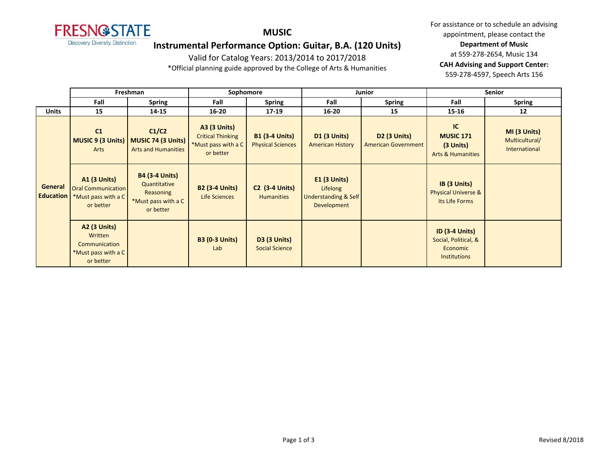

### **MUSIC**

## **Instrumental Performance Option: Guitar, B.A. (120 Units)**

Valid for Catalog Years: 2013/2014 to 2017/2018

\*Official planning guide approved by the College of Arts & Humanities

|                             | Freshman                                                                      |                                                                                        | Sophomore                                                                           |                                                   |                                                                              | <b>Junior</b>                                     | <b>Senior</b>                                                                    |                                                 |
|-----------------------------|-------------------------------------------------------------------------------|----------------------------------------------------------------------------------------|-------------------------------------------------------------------------------------|---------------------------------------------------|------------------------------------------------------------------------------|---------------------------------------------------|----------------------------------------------------------------------------------|-------------------------------------------------|
|                             | Fall                                                                          | <b>Spring</b>                                                                          | Fall                                                                                | <b>Spring</b>                                     | Fall                                                                         | <b>Spring</b>                                     | Fall                                                                             | <b>Spring</b>                                   |
| <b>Units</b>                | 15                                                                            | 14-15                                                                                  | $16 - 20$                                                                           | 17-19                                             | $16 - 20$                                                                    | 15                                                | $15 - 16$                                                                        | 12                                              |
|                             | C1<br><b>MUSIC 9 (3 Units)</b><br>Arts                                        | C1/C2<br><b>MUSIC 74 (3 Units)</b><br><b>Arts and Humanities</b>                       | <b>A3 (3 Units)</b><br><b>Critical Thinking</b><br>*Must pass with a C<br>or better | <b>B1 (3-4 Units)</b><br><b>Physical Sciences</b> | <b>D1 (3 Units)</b><br><b>American History</b>                               | <b>D2 (3 Units)</b><br><b>American Government</b> | IC<br><b>MUSIC 171</b><br>$(3$ Units)<br><b>Arts &amp; Humanities</b>            | MI (3 Units)<br>Multicultural/<br>International |
| General<br><b>Education</b> | A1 (3 Units)<br><b>Oral Communication</b><br>*Must pass with a C<br>or better | <b>B4 (3-4 Units)</b><br>Quantitative<br>Reasoning<br>*Must pass with a C<br>or better | <b>B2 (3-4 Units)</b><br>Life Sciences                                              | <b>C2</b> (3-4 Units)<br><b>Humanities</b>        | $E1$ (3 Units)<br>Lifelong<br><b>Understanding &amp; Self</b><br>Development |                                                   | IB (3 Units)<br><b>Physical Universe &amp;</b><br>Its Life Forms                 |                                                 |
|                             | A2 (3 Units)<br>Written<br>Communication<br>*Must pass with a C<br>or better  |                                                                                        | <b>B3 (0-3 Units)</b><br>Lab                                                        | <b>D3 (3 Units)</b><br><b>Social Science</b>      |                                                                              |                                                   | <b>ID (3-4 Units)</b><br>Social, Political, &<br>Economic<br><b>Institutions</b> |                                                 |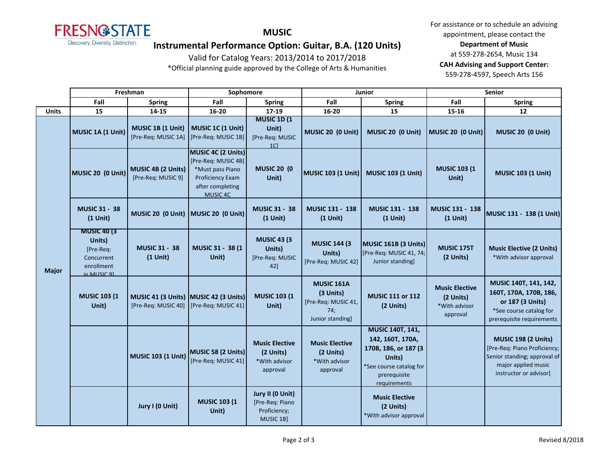

**MUSIC**

# **Instrumental Performance Option: Guitar, B.A. (120 Units)**

Valid for Catalog Years: 2013/2014 to 2017/2018

\*Official planning guide approved by the College of Arts & Humanities

|              | Freshman                                                                              |                                                              | Sophomore                                                                                                         |                                                                   | Junior                                                                           |                                                                                                                                   | <b>Senior</b>                                                   |                                                                                                                                             |
|--------------|---------------------------------------------------------------------------------------|--------------------------------------------------------------|-------------------------------------------------------------------------------------------------------------------|-------------------------------------------------------------------|----------------------------------------------------------------------------------|-----------------------------------------------------------------------------------------------------------------------------------|-----------------------------------------------------------------|---------------------------------------------------------------------------------------------------------------------------------------------|
|              | Fall                                                                                  | <b>Spring</b>                                                | Fall                                                                                                              | <b>Spring</b>                                                     | Fall                                                                             | <b>Spring</b>                                                                                                                     | Fall                                                            | <b>Spring</b>                                                                                                                               |
| <b>Units</b> | 15                                                                                    | 14-15                                                        | 16-20                                                                                                             | 17-19                                                             | 16-20                                                                            | 15                                                                                                                                | 15-16                                                           | 12                                                                                                                                          |
| <b>Major</b> | MUSIC 1A (1 Unit)                                                                     | MUSIC 1B (1 Unit)<br>[Pre-Req: MUSIC 1A]                     | MUSIC 1C (1 Unit)<br>[Pre-Req: MUSIC 1B]                                                                          | <b>MUSIC 1D (1)</b><br>Unit)<br>[Pre-Req: MUSIC<br>1 <sup>C</sup> | MUSIC 20 (0 Unit)                                                                | MUSIC 20 (0 Unit)                                                                                                                 | MUSIC 20 (0 Unit)                                               | MUSIC 20 (0 Unit)                                                                                                                           |
|              | MUSIC 20 (0 Unit)                                                                     | MUSIC 4B (2 Units)<br>[Pre-Req: MUSIC 9]                     | MUSIC 4C (2 Units)<br>[Pre-Req: MUSIC 4B]<br>*Must pass Piano<br>Proficiency Exam<br>after completing<br>MUSIC 4C | <b>MUSIC 20 (0</b><br>Unit)                                       | MUSIC 103 (1 Unit)                                                               | <b>MUSIC 103 (1 Unit)</b>                                                                                                         | <b>MUSIC 103 (1)</b><br>Unit)                                   | <b>MUSIC 103 (1 Unit)</b>                                                                                                                   |
|              | <b>MUSIC 31 - 38</b><br>$(1$ Unit)                                                    |                                                              | MUSIC 20 (0 Unit) MUSIC 20 (0 Unit)                                                                               | <b>MUSIC 31 - 38</b><br>$(1$ Unit)                                | MUSIC 131 - 138<br>$(1$ Unit)                                                    | <b>MUSIC 131 - 138</b><br>$(1$ Unit)                                                                                              | MUSIC 131 - 138<br>$(1$ Unit)                                   | MUSIC 131 - 138 (1 Unit)                                                                                                                    |
|              | <b>MUSIC 40 (3)</b><br>Units)<br>[Pre-Req:<br>Concurrent<br>enrollment<br>in MUSIC 91 | <b>MUSIC 31 - 38</b><br>$(1$ Unit)                           | MUSIC 31 - 38 (1<br>Unit)                                                                                         | <b>MUSIC 43 (3)</b><br>Units)<br>[Pre-Req: MUSIC<br>42]           | <b>MUSIC 144 (3)</b><br>Units)<br>[Pre-Req: MUSIC 42]                            | MUSIC 161B (3 Units)<br>[Pre-Req: MUSIC 41, 74;<br>Junior standing]                                                               | MUSIC 175T<br>(2 Units)                                         | <b>Music Elective (2 Units)</b><br>*With advisor approval                                                                                   |
|              | <b>MUSIC 103 (1)</b><br>Unit)                                                         | MUSIC 41 (3 Units) MUSIC 42 (3 Units)<br>[Pre-Req: MUSIC 40] | [Pre-Req: MUSIC 41]                                                                                               | <b>MUSIC 103 (1)</b><br>Unit)                                     | <b>MUSIC 161A</b><br>(3 Units)<br>[Pre-Req: MUSIC 41,<br>74;<br>Junior standing] | <b>MUSIC 111 or 112</b><br>(2 Units)                                                                                              | <b>Music Elective</b><br>(2 Units)<br>*With advisor<br>approval | MUSIC 140T, 141, 142,<br>160T, 170A, 170B, 186,<br>or 187 (3 Units)<br>*See course catalog for<br>prerequisite requirements                 |
|              |                                                                                       | <b>MUSIC 103 (1 Unit)</b>                                    | MUSIC 58 (2 Units)<br>[Pre-Req: MUSIC 41]                                                                         | <b>Music Elective</b><br>(2 Units)<br>*With advisor<br>approval   | <b>Music Elective</b><br>(2 Units)<br>*With advisor<br>approval                  | MUSIC 140T, 141,<br>142, 160T, 170A,<br>170B, 186, or 187 (3<br>Units)<br>*See course catalog for<br>prerequisite<br>requirements |                                                                 | <b>MUSIC 198 (2 Units)</b><br>[Pre-Req: Piano Proficiency;<br>Senior standing; approval of<br>major applied music<br>instructor or advisor] |
|              |                                                                                       | Jury I (0 Unit)                                              | <b>MUSIC 103 (1</b><br>Unit)                                                                                      | Jury II (0 Unit)<br>[Pre-Req: Piano<br>Proficiency;<br>MUSIC 1B]  |                                                                                  | <b>Music Elective</b><br>(2 Units)<br>*With advisor approval                                                                      |                                                                 |                                                                                                                                             |